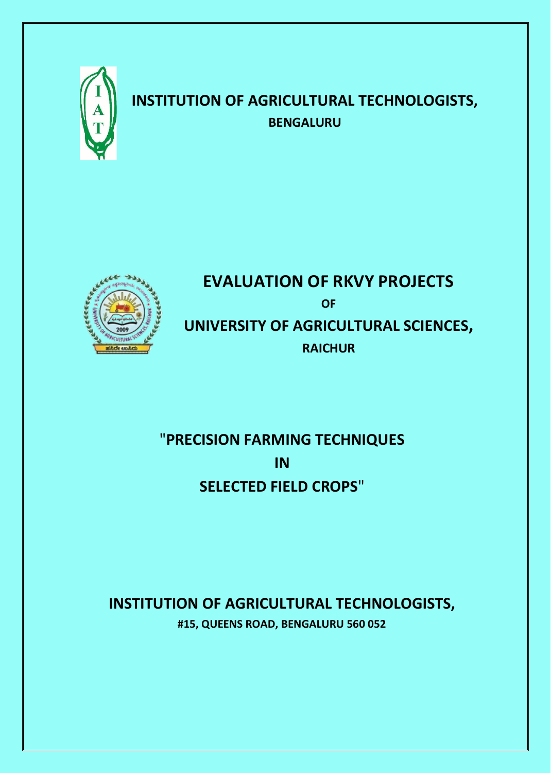

# **INSTITUTION OF AGRICULTURAL TECHNOLOGISTS, BENGALURU**



# **EVALUATION OF RKVY PROJECTS OF UNIVERSITY OF AGRICULTURAL SCIENCES, RAICHUR**

# "**PRECISION FARMING TECHNIQUES IN SELECTED FIELD CROPS**"

## **INSTITUTION OF AGRICULTURAL TECHNOLOGISTS, #15, QUEENS ROAD, BENGALURU 560 052**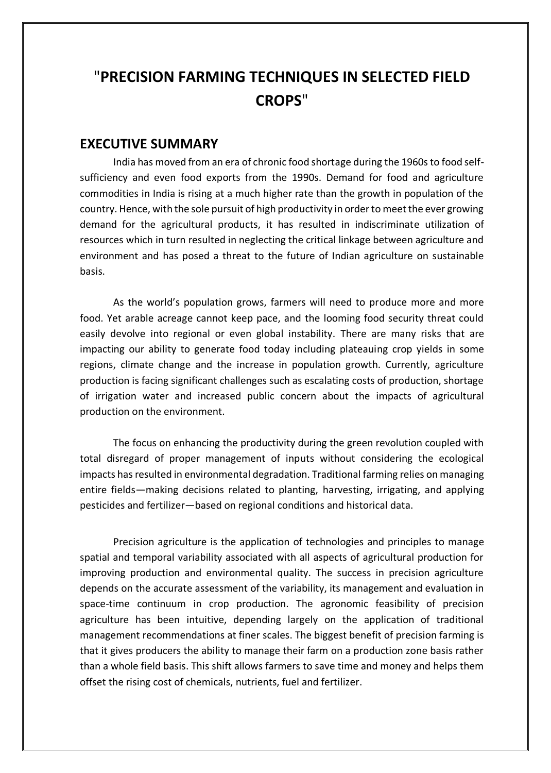## "**PRECISION FARMING TECHNIQUES IN SELECTED FIELD CROPS**"

#### **EXECUTIVE SUMMARY**

India has moved from an era of chronic food shortage during the 1960s to food selfsufficiency and even food exports from the 1990s. Demand for food and agriculture commodities in India is rising at a much higher rate than the growth in population of the country. Hence, with the sole pursuit of high productivity in order to meet the ever growing demand for the agricultural products, it has resulted in indiscriminate utilization of resources which in turn resulted in neglecting the critical linkage between agriculture and environment and has posed a threat to the future of Indian agriculture on sustainable basis.

As the world's population grows, farmers will need to produce more and more food. Yet arable acreage cannot keep pace, and the looming food security threat could easily devolve into regional or even global instability. There are many risks that are impacting our ability to generate food today including plateauing crop yields in some regions, climate change and the increase in population growth. Currently, agriculture production is facing significant challenges such as escalating costs of production, shortage of irrigation water and increased public concern about the impacts of agricultural production on the environment.

The focus on enhancing the productivity during the green revolution coupled with total disregard of proper management of inputs without considering the ecological impacts has resulted in environmental degradation. Traditional farming relies on managing entire fields—making decisions related to planting, harvesting, irrigating, and applying pesticides and fertilizer—based on regional conditions and historical data.

Precision agriculture is the application of technologies and principles to manage spatial and temporal variability associated with all aspects of agricultural production for improving production and environmental quality. The success in precision agriculture depends on the accurate assessment of the variability, its management and evaluation in space-time continuum in crop production. The agronomic feasibility of precision agriculture has been intuitive, depending largely on the application of traditional management recommendations at finer scales. The biggest benefit of precision farming is that it gives producers the ability to manage their farm on a production zone basis rather than a whole field basis. This shift allows farmers to save time and money and helps them offset the rising cost of chemicals, nutrients, fuel and fertilizer.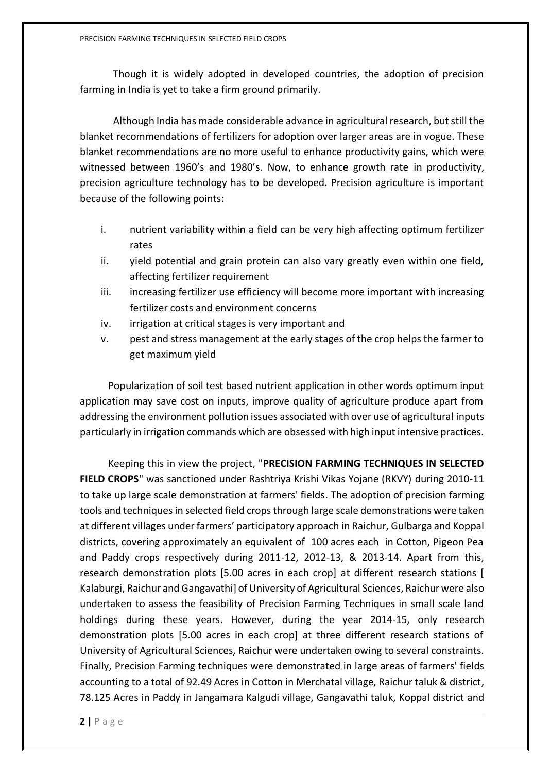Though it is widely adopted in developed countries, the adoption of precision farming in India is yet to take a firm ground primarily.

Although India has made considerable advance in agricultural research, but still the blanket recommendations of fertilizers for adoption over larger areas are in vogue. These blanket recommendations are no more useful to enhance productivity gains, which were witnessed between 1960's and 1980's. Now, to enhance growth rate in productivity, precision agriculture technology has to be developed. Precision agriculture is important because of the following points:

- i. nutrient variability within a field can be very high affecting optimum fertilizer rates
- ii. yield potential and grain protein can also vary greatly even within one field, affecting fertilizer requirement
- iii. increasing fertilizer use efficiency will become more important with increasing fertilizer costs and environment concerns
- iv. irrigation at critical stages is very important and
- v. pest and stress management at the early stages of the crop helps the farmer to get maximum yield

 Popularization of soil test based nutrient application in other words optimum input application may save cost on inputs, improve quality of agriculture produce apart from addressing the environment pollution issues associated with over use of agricultural inputs particularly in irrigation commands which are obsessed with high input intensive practices.

 Keeping this in view the project, "**PRECISION FARMING TECHNIQUES IN SELECTED FIELD CROPS**" was sanctioned under Rashtriya Krishi Vikas Yojane (RKVY) during 2010-11 to take up large scale demonstration at farmers' fields. The adoption of precision farming tools and techniques in selected field crops through large scale demonstrations were taken at different villages under farmers' participatory approach in Raichur, Gulbarga and Koppal districts, covering approximately an equivalent of 100 acres each in Cotton, Pigeon Pea and Paddy crops respectively during 2011-12, 2012-13, & 2013-14. Apart from this, research demonstration plots [5.00 acres in each crop] at different research stations [ Kalaburgi, Raichur and Gangavathi] of University of Agricultural Sciences, Raichur were also undertaken to assess the feasibility of Precision Farming Techniques in small scale land holdings during these years. However, during the year 2014-15, only research demonstration plots [5.00 acres in each crop] at three different research stations of University of Agricultural Sciences, Raichur were undertaken owing to several constraints. Finally, Precision Farming techniques were demonstrated in large areas of farmers' fields accounting to a total of 92.49 Acres in Cotton in Merchatal village, Raichur taluk & district, 78.125 Acres in Paddy in Jangamara Kalgudi village, Gangavathi taluk, Koppal district and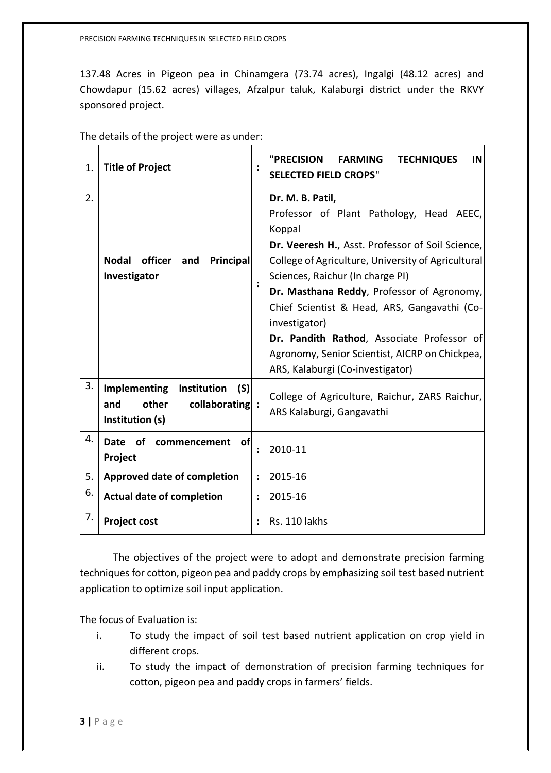137.48 Acres in Pigeon pea in Chinamgera (73.74 acres), Ingalgi (48.12 acres) and Chowdapur (15.62 acres) villages, Afzalpur taluk, Kalaburgi district under the RKVY sponsored project.

| 1. | <b>Title of Project</b>                                                                         |                | <b>"PRECISION</b><br><b>FARMING</b><br><b>TECHNIQUES</b><br>IN<br><b>SELECTED FIELD CROPS"</b>                                                                                                                                                                                                                                                                                                                                                                          |
|----|-------------------------------------------------------------------------------------------------|----------------|-------------------------------------------------------------------------------------------------------------------------------------------------------------------------------------------------------------------------------------------------------------------------------------------------------------------------------------------------------------------------------------------------------------------------------------------------------------------------|
| 2. | officer<br>Principal<br><b>Nodal</b><br>and<br>Investigator                                     | $\ddot{\cdot}$ | Dr. M. B. Patil,<br>Professor of Plant Pathology, Head AEEC,<br>Koppal<br>Dr. Veeresh H., Asst. Professor of Soil Science,<br>College of Agriculture, University of Agricultural<br>Sciences, Raichur (In charge PI)<br>Dr. Masthana Reddy, Professor of Agronomy,<br>Chief Scientist & Head, ARS, Gangavathi (Co-<br>investigator)<br>Dr. Pandith Rathod, Associate Professor of<br>Agronomy, Senior Scientist, AICRP on Chickpea,<br>ARS, Kalaburgi (Co-investigator) |
| 3. | <b>Implementing</b><br>Institution<br>(S)<br>other<br>collaborating :<br>and<br>Institution (s) |                | College of Agriculture, Raichur, ZARS Raichur,<br>ARS Kalaburgi, Gangavathi                                                                                                                                                                                                                                                                                                                                                                                             |
| 4. | Date of commencement<br>ofl<br>Project                                                          |                | 2010-11                                                                                                                                                                                                                                                                                                                                                                                                                                                                 |
| 5. | Approved date of completion                                                                     | $\ddot{\cdot}$ | 2015-16                                                                                                                                                                                                                                                                                                                                                                                                                                                                 |
| 6. | <b>Actual date of completion</b>                                                                |                | 2015-16                                                                                                                                                                                                                                                                                                                                                                                                                                                                 |
| 7. | <b>Project cost</b>                                                                             | $\ddot{\cdot}$ | Rs. 110 lakhs                                                                                                                                                                                                                                                                                                                                                                                                                                                           |

The objectives of the project were to adopt and demonstrate precision farming techniques for cotton, pigeon pea and paddy crops by emphasizing soil test based nutrient application to optimize soil input application.

The focus of Evaluation is:

- i. To study the impact of soil test based nutrient application on crop yield in different crops.
- ii. To study the impact of demonstration of precision farming techniques for cotton, pigeon pea and paddy crops in farmers' fields.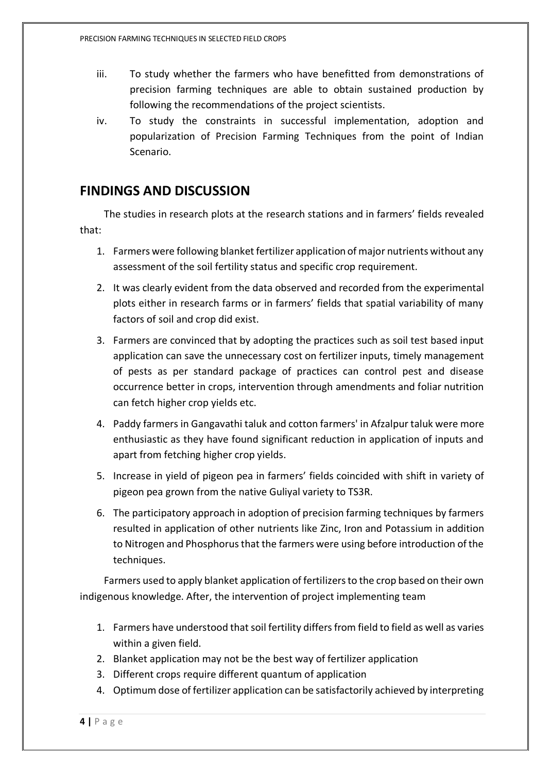- iii. To study whether the farmers who have benefitted from demonstrations of precision farming techniques are able to obtain sustained production by following the recommendations of the project scientists.
- iv. To study the constraints in successful implementation, adoption and popularization of Precision Farming Techniques from the point of Indian Scenario.

### **FINDINGS AND DISCUSSION**

 The studies in research plots at the research stations and in farmers' fields revealed that:

- 1. Farmers were following blanket fertilizer application of major nutrients without any assessment of the soil fertility status and specific crop requirement.
- 2. It was clearly evident from the data observed and recorded from the experimental plots either in research farms or in farmers' fields that spatial variability of many factors of soil and crop did exist.
- 3. Farmers are convinced that by adopting the practices such as soil test based input application can save the unnecessary cost on fertilizer inputs, timely management of pests as per standard package of practices can control pest and disease occurrence better in crops, intervention through amendments and foliar nutrition can fetch higher crop yields etc.
- 4. Paddy farmers in Gangavathi taluk and cotton farmers' in Afzalpur taluk were more enthusiastic as they have found significant reduction in application of inputs and apart from fetching higher crop yields.
- 5. Increase in yield of pigeon pea in farmers' fields coincided with shift in variety of pigeon pea grown from the native Guliyal variety to TS3R.
- 6. The participatory approach in adoption of precision farming techniques by farmers resulted in application of other nutrients like Zinc, Iron and Potassium in addition to Nitrogen and Phosphorus that the farmers were using before introduction of the techniques.

 Farmers used to apply blanket application of fertilizers to the crop based on their own indigenous knowledge. After, the intervention of project implementing team

- 1. Farmers have understood that soil fertility differs from field to field as well as varies within a given field.
- 2. Blanket application may not be the best way of fertilizer application
- 3. Different crops require different quantum of application
- 4. Optimum dose of fertilizer application can be satisfactorily achieved by interpreting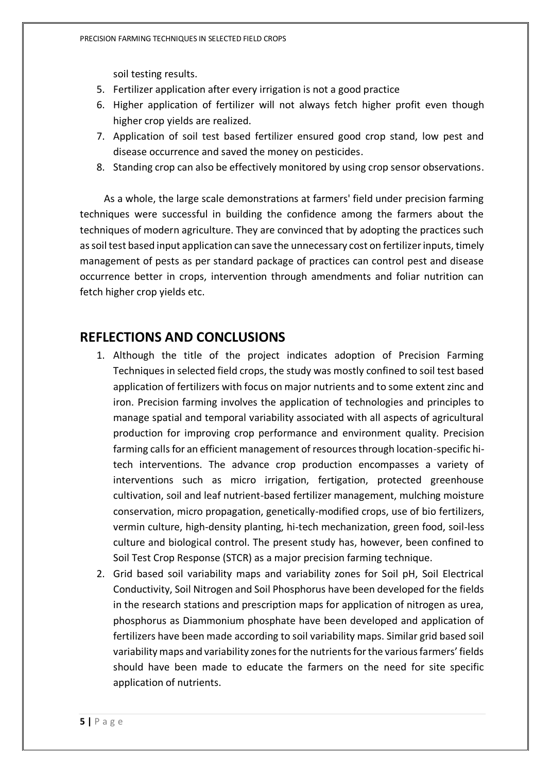soil testing results.

- 5. Fertilizer application after every irrigation is not a good practice
- 6. Higher application of fertilizer will not always fetch higher profit even though higher crop yields are realized.
- 7. Application of soil test based fertilizer ensured good crop stand, low pest and disease occurrence and saved the money on pesticides.
- 8. Standing crop can also be effectively monitored by using crop sensor observations.

 As a whole, the large scale demonstrations at farmers' field under precision farming techniques were successful in building the confidence among the farmers about the techniques of modern agriculture. They are convinced that by adopting the practices such as soil test based input application can save the unnecessary cost on fertilizer inputs, timely management of pests as per standard package of practices can control pest and disease occurrence better in crops, intervention through amendments and foliar nutrition can fetch higher crop yields etc.

### **REFLECTIONS AND CONCLUSIONS**

- 1. Although the title of the project indicates adoption of Precision Farming Techniques in selected field crops, the study was mostly confined to soil test based application of fertilizers with focus on major nutrients and to some extent zinc and iron. Precision farming involves the application of technologies and principles to manage spatial and temporal variability associated with all aspects of agricultural production for improving crop performance and environment quality. Precision farming calls for an efficient management of resources through location-specific hitech interventions. The advance crop production encompasses a variety of interventions such as micro irrigation, fertigation, protected greenhouse cultivation, soil and leaf nutrient-based fertilizer management, mulching moisture conservation, micro propagation, genetically-modified crops, use of bio fertilizers, vermin culture, high-density planting, hi-tech mechanization, green food, soil-less culture and biological control. The present study has, however, been confined to Soil Test Crop Response (STCR) as a major precision farming technique.
- 2. Grid based soil variability maps and variability zones for Soil pH, Soil Electrical Conductivity, Soil Nitrogen and Soil Phosphorus have been developed for the fields in the research stations and prescription maps for application of nitrogen as urea, phosphorus as Diammonium phosphate have been developed and application of fertilizers have been made according to soil variability maps. Similar grid based soil variability maps and variability zones for the nutrients for the various farmers' fields should have been made to educate the farmers on the need for site specific application of nutrients.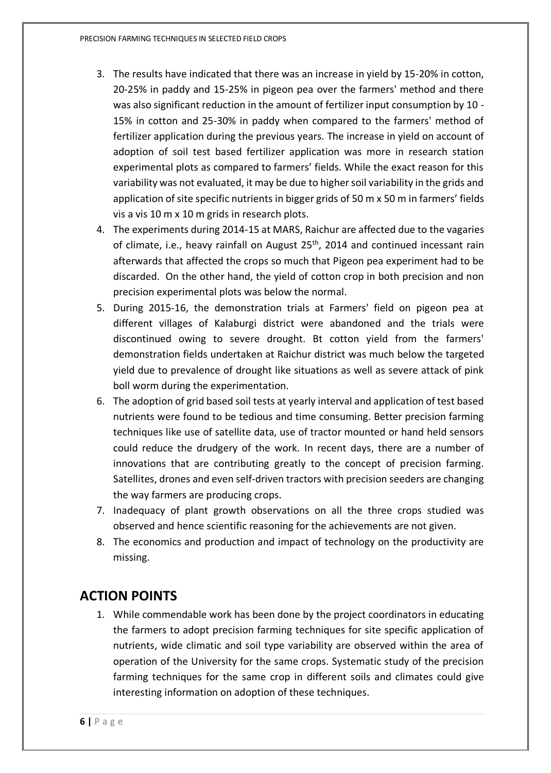- 3. The results have indicated that there was an increase in yield by 15-20% in cotton, 20-25% in paddy and 15-25% in pigeon pea over the farmers' method and there was also significant reduction in the amount of fertilizer input consumption by 10 - 15% in cotton and 25-30% in paddy when compared to the farmers' method of fertilizer application during the previous years. The increase in yield on account of adoption of soil test based fertilizer application was more in research station experimental plots as compared to farmers' fields. While the exact reason for this variability was not evaluated, it may be due to higher soil variability in the grids and application of site specific nutrients in bigger grids of 50 m x 50 m in farmers' fields vis a vis 10 m x 10 m grids in research plots.
- 4. The experiments during 2014-15 at MARS, Raichur are affected due to the vagaries of climate, i.e., heavy rainfall on August 25<sup>th</sup>, 2014 and continued incessant rain afterwards that affected the crops so much that Pigeon pea experiment had to be discarded. On the other hand, the yield of cotton crop in both precision and non precision experimental plots was below the normal.
- 5. During 2015-16, the demonstration trials at Farmers' field on pigeon pea at different villages of Kalaburgi district were abandoned and the trials were discontinued owing to severe drought. Bt cotton yield from the farmers' demonstration fields undertaken at Raichur district was much below the targeted yield due to prevalence of drought like situations as well as severe attack of pink boll worm during the experimentation.
- 6. The adoption of grid based soil tests at yearly interval and application of test based nutrients were found to be tedious and time consuming. Better precision farming techniques like use of satellite data, use of tractor mounted or hand held sensors could reduce the drudgery of the work. In recent days, there are a number of innovations that are contributing greatly to the concept of precision farming. Satellites, drones and even self-driven tractors with precision seeders are changing the way farmers are producing crops.
- 7. Inadequacy of plant growth observations on all the three crops studied was observed and hence scientific reasoning for the achievements are not given.
- 8. The economics and production and impact of technology on the productivity are missing.

## **ACTION POINTS**

1. While commendable work has been done by the project coordinators in educating the farmers to adopt precision farming techniques for site specific application of nutrients, wide climatic and soil type variability are observed within the area of operation of the University for the same crops. Systematic study of the precision farming techniques for the same crop in different soils and climates could give interesting information on adoption of these techniques.